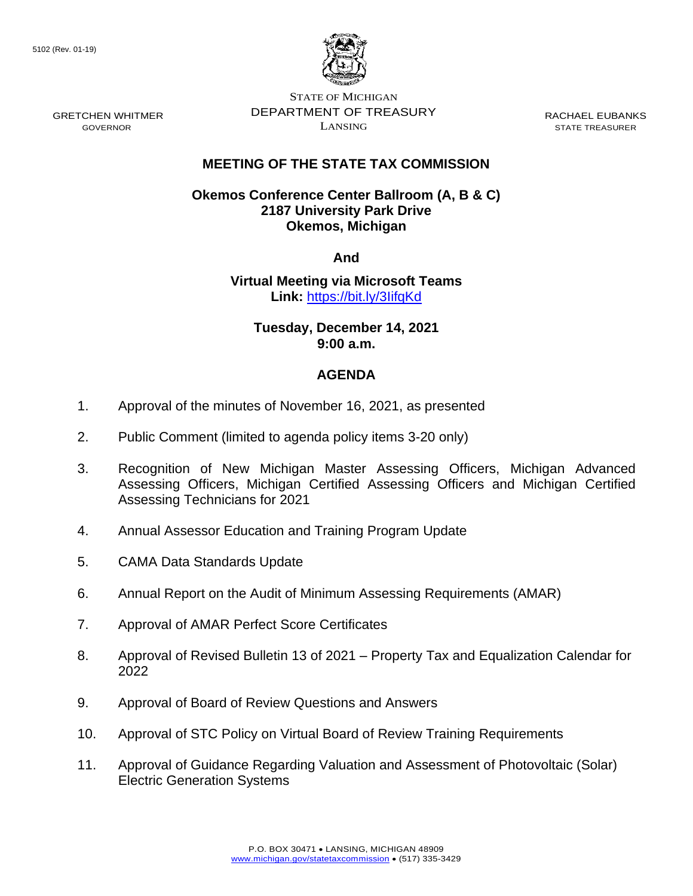

STATE OF MICHIGAN DEPARTMENT OF TREASURY LANSING

RACHAEL EUBANKS STATE TREASURER

## **MEETING OF THE STATE TAX COMMISSION**

## **Okemos Conference Center Ballroom (A, B & C) 2187 University Park Drive Okemos, Michigan**

**And**

**Virtual Meeting via Microsoft Teams Link:** [https://bit.ly/3IifqKd](https://gcc02.safelinks.protection.outlook.com/?url=https%3A%2F%2Fbit.ly%2F3IifqKd&data=04%7C01%7CDensteadtL%40michigan.gov%7C0b9ff93b078149291bc508d9b67b1b5b%7Cd5fb7087377742ad966a892ef47225d1%7C0%7C0%7C637741462112842315%7CUnknown%7CTWFpbGZsb3d8eyJWIjoiMC4wLjAwMDAiLCJQIjoiV2luMzIiLCJBTiI6Ik1haWwiLCJXVCI6Mn0%3D%7C3000&sdata=tTKOFQk2rL8MgFHDprlYl55yaCUT1zRGNeH7DSCVh8g%3D&reserved=0)

**Tuesday, December 14, 2021 9:00 a.m.**

## **AGENDA**

- 1. Approval of the minutes of November 16, 2021, as presented
- 2. Public Comment (limited to agenda policy items 3-20 only)
- 3. Recognition of New Michigan Master Assessing Officers, Michigan Advanced Assessing Officers, Michigan Certified Assessing Officers and Michigan Certified Assessing Technicians for 2021
- 4. Annual Assessor Education and Training Program Update
- 5. CAMA Data Standards Update
- 6. Annual Report on the Audit of Minimum Assessing Requirements (AMAR)
- 7. Approval of AMAR Perfect Score Certificates
- 8. Approval of Revised Bulletin 13 of 2021 Property Tax and Equalization Calendar for 2022
- 9. Approval of Board of Review Questions and Answers
- 10. Approval of STC Policy on Virtual Board of Review Training Requirements
- 11. Approval of Guidance Regarding Valuation and Assessment of Photovoltaic (Solar) Electric Generation Systems

GRETCHEN WHITMER GOVERNOR